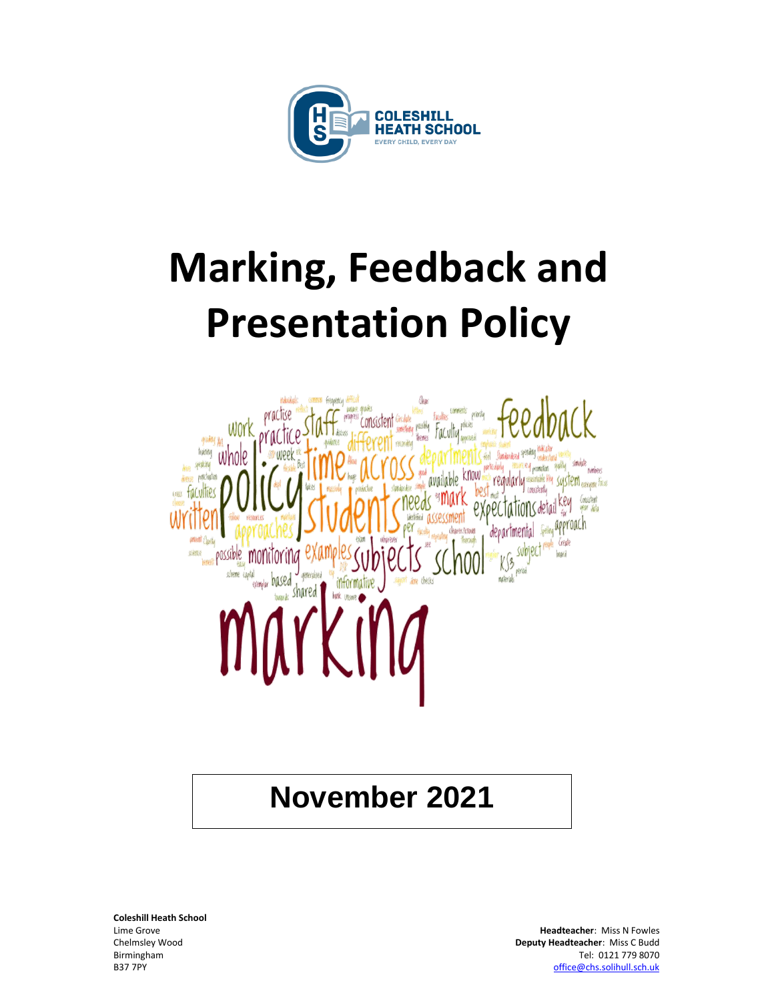

# **Marking, Feedback and Presentation Policy**



### **November 2021**

**Coleshill Heath School**

Lime Grove **Headteacher**: Miss N Fowles Chelmsley Wood **Deputy Headteacher**: Miss C Budd Birmingham Tel: 0121 779 8070 B37 7PY [office@chs.solihull.sch.uk](mailto:office@chs.solihull.sch.uk)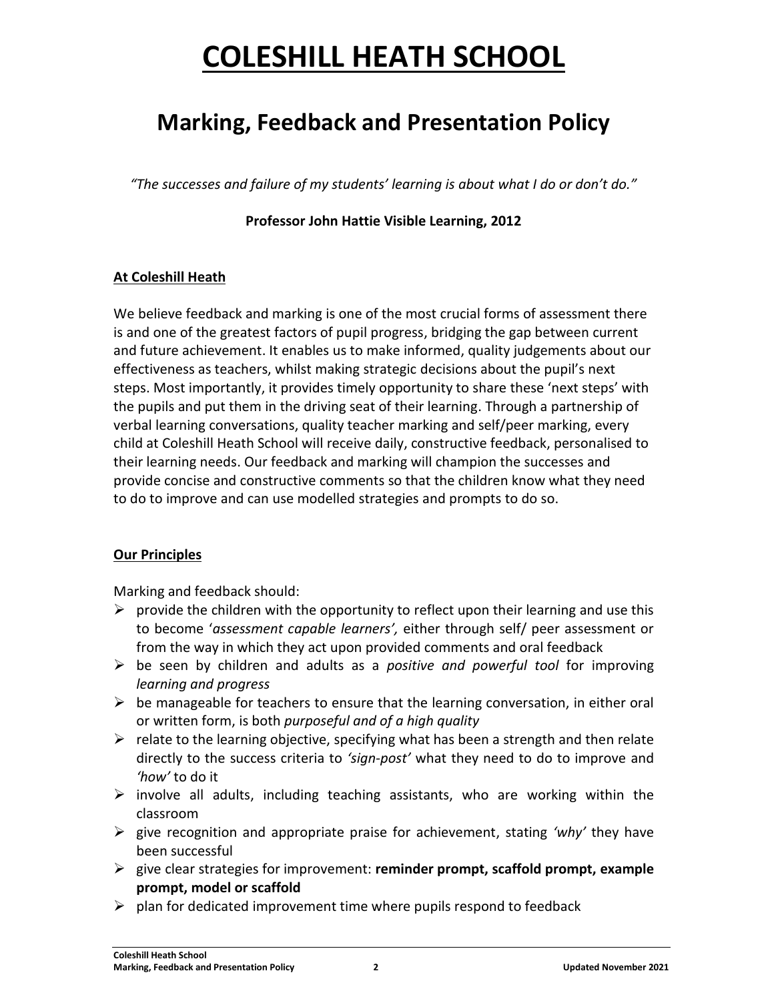### **COLESHILL HEATH SCHOOL**

### **Marking, Feedback and Presentation Policy**

*"The successes and failure of my students' learning is about what I do or don't do."*

### **Professor John Hattie Visible Learning, 2012**

#### **At Coleshill Heath**

We believe feedback and marking is one of the most crucial forms of assessment there is and one of the greatest factors of pupil progress, bridging the gap between current and future achievement. It enables us to make informed, quality judgements about our effectiveness as teachers, whilst making strategic decisions about the pupil's next steps. Most importantly, it provides timely opportunity to share these 'next steps' with the pupils and put them in the driving seat of their learning. Through a partnership of verbal learning conversations, quality teacher marking and self/peer marking, every child at Coleshill Heath School will receive daily, constructive feedback, personalised to their learning needs. Our feedback and marking will champion the successes and provide concise and constructive comments so that the children know what they need to do to improve and can use modelled strategies and prompts to do so.

#### **Our Principles**

Marking and feedback should:

- $\triangleright$  provide the children with the opportunity to reflect upon their learning and use this to become '*assessment capable learners',* either through self/ peer assessment or from the way in which they act upon provided comments and oral feedback
- ➢ be seen by children and adults as a *positive and powerful tool* for improving *learning and progress*
- $\triangleright$  be manageable for teachers to ensure that the learning conversation, in either oral or written form, is both *purposeful and of a high quality*
- $\triangleright$  relate to the learning objective, specifying what has been a strength and then relate directly to the success criteria to *'sign-post'* what they need to do to improve and *'how'* to do it
- $\triangleright$  involve all adults, including teaching assistants, who are working within the classroom
- ➢ give recognition and appropriate praise for achievement, stating *'why'* they have been successful
- ➢ give clear strategies for improvement: **reminder prompt, scaffold prompt, example prompt, model or scaffold**
- $\triangleright$  plan for dedicated improvement time where pupils respond to feedback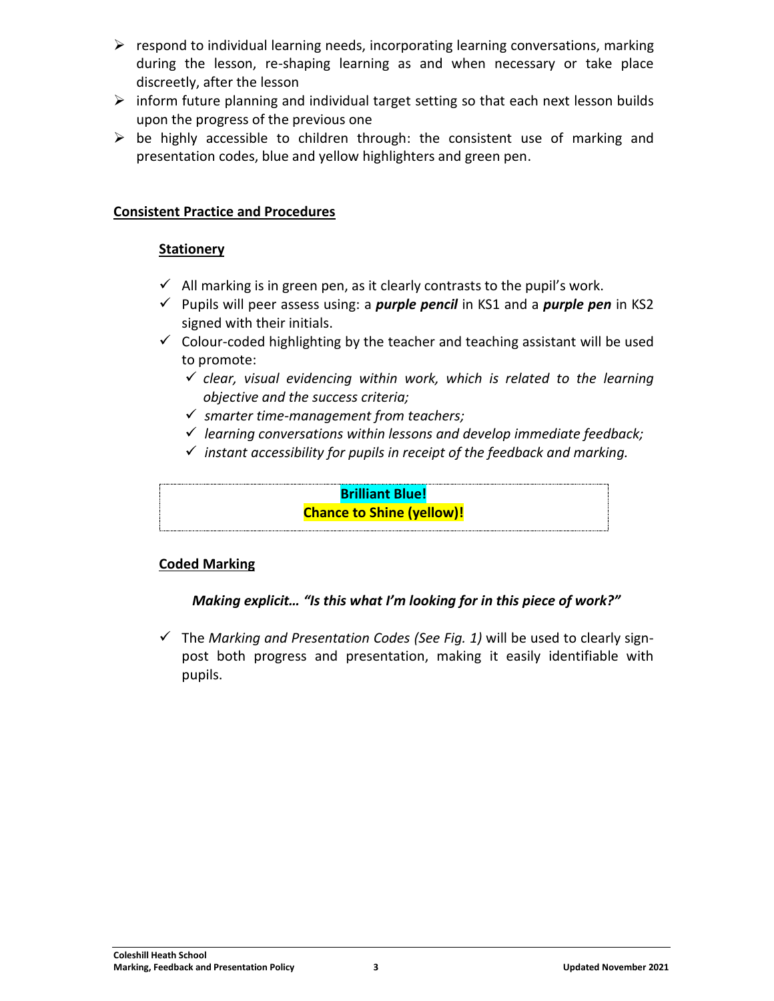- $\triangleright$  respond to individual learning needs, incorporating learning conversations, marking during the lesson, re-shaping learning as and when necessary or take place discreetly, after the lesson
- $\triangleright$  inform future planning and individual target setting so that each next lesson builds upon the progress of the previous one
- $\triangleright$  be highly accessible to children through: the consistent use of marking and presentation codes, blue and yellow highlighters and green pen.

#### **Consistent Practice and Procedures**

#### **Stationery**

- $\checkmark$  All marking is in green pen, as it clearly contrasts to the pupil's work.
- ✓ Pupils will peer assess using: a *purple pencil* in KS1 and a *purple pen* in KS2 signed with their initials.
- $\checkmark$  Colour-coded highlighting by the teacher and teaching assistant will be used to promote:
	- ✓ *clear, visual evidencing within work, which is related to the learning objective and the success criteria;*
	- ✓ *smarter time-management from teachers;*
	- ✓ *learning conversations within lessons and develop immediate feedback;*
	- ✓ *instant accessibility for pupils in receipt of the feedback and marking.*

**Brilliant Blue! Chance to Shine (yellow)!**

### **Coded Marking**

### *Making explicit… "Is this what I'm looking for in this piece of work?"*

✓ The *Marking and Presentation Codes (See Fig. 1)* will be used to clearly signpost both progress and presentation, making it easily identifiable with pupils.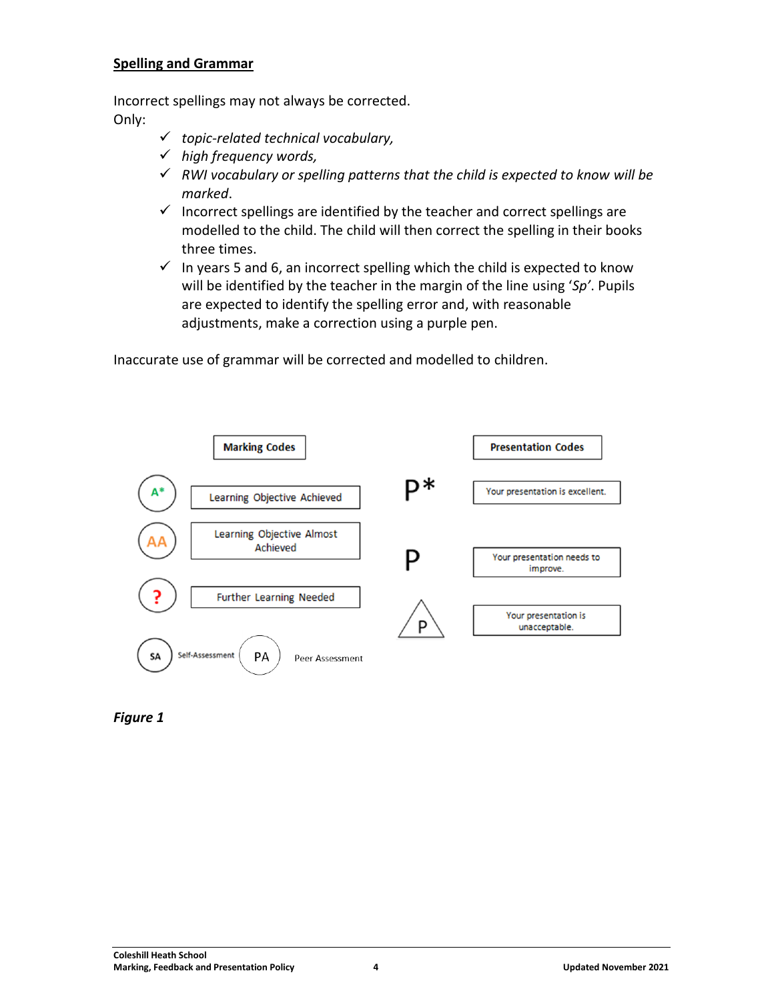#### **Spelling and Grammar**

Incorrect spellings may not always be corrected. Only:

- ✓ *topic-related technical vocabulary,*
- ✓ *high frequency words,*
- ✓ *RWI vocabulary or spelling patterns that the child is expected to know will be marked*.
- $\checkmark$  Incorrect spellings are identified by the teacher and correct spellings are modelled to the child. The child will then correct the spelling in their books three times.
- $\checkmark$  In years 5 and 6, an incorrect spelling which the child is expected to know will be identified by the teacher in the margin of the line using '*Sp'*. Pupils are expected to identify the spelling error and, with reasonable adjustments, make a correction using a purple pen.

Inaccurate use of grammar will be corrected and modelled to children.



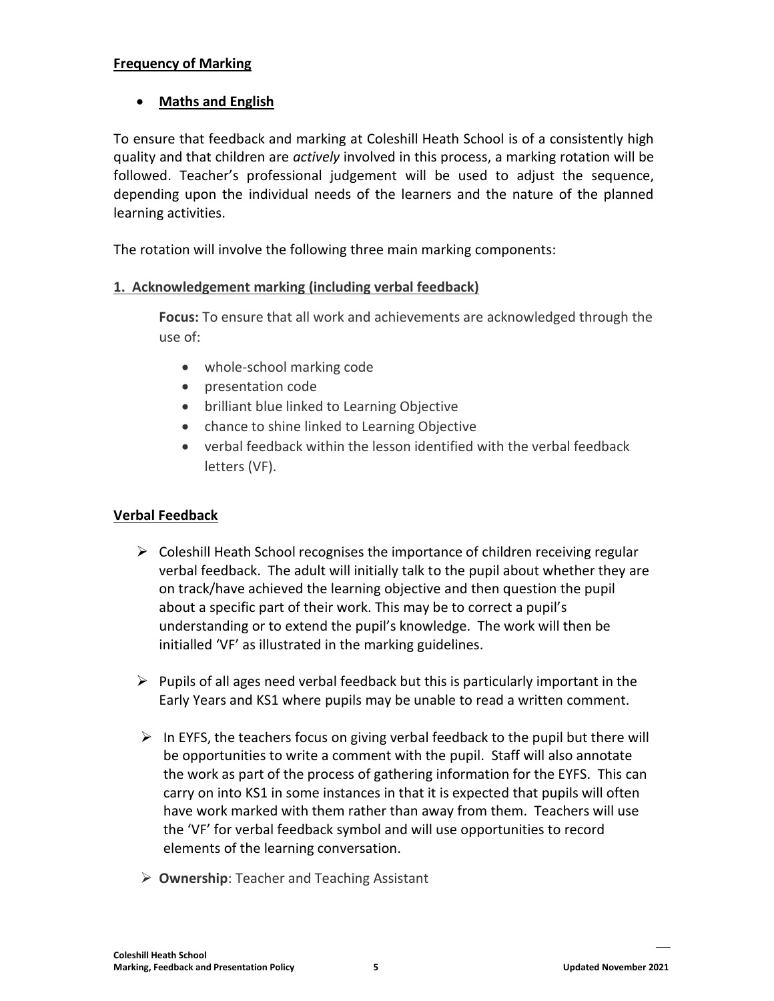#### **Frequency of Marking**

#### • **Maths and English**

To ensure that feedback and marking at Coleshill Heath School is of a consistently high quality and that children are *actively* involved in this process, a marking rotation will be followed. Teacher's professional judgement will be used to adjust the sequence, depending upon the individual needs of the learners and the nature of the planned learning activities.

The rotation will involve the following three main marking components:

#### **1. Acknowledgement marking (including verbal feedback)**

**Focus:** To ensure that all work and achievements are acknowledged through the use of:

- whole-school marking code
- presentation code
- brilliant blue linked to Learning Objective
- chance to shine linked to Learning Objective
- verbal feedback within the lesson identified with the verbal feedback letters (VF).

#### **Verbal Feedback**

- ➢ Coleshill Heath School recognises the importance of children receiving regular verbal feedback. The adult will initially talk to the pupil about whether they are on track/have achieved the learning objective and then question the pupil about a specific part of their work. This may be to correct a pupil's understanding or to extend the pupil's knowledge. The work will then be initialled 'VF' as illustrated in the marking guidelines.
- $\triangleright$  Pupils of all ages need verbal feedback but this is particularly important in the Early Years and KS1 where pupils may be unable to read a written comment.
- $\triangleright$  In EYFS, the teachers focus on giving verbal feedback to the pupil but there will be opportunities to write a comment with the pupil. Staff will also annotate the work as part of the process of gathering information for the EYFS. This can carry on into KS1 in some instances in that it is expected that pupils will often have work marked with them rather than away from them. Teachers will use the 'VF' for verbal feedback symbol and will use opportunities to record elements of the learning conversation.
- ➢ **Ownership**: Teacher and Teaching Assistant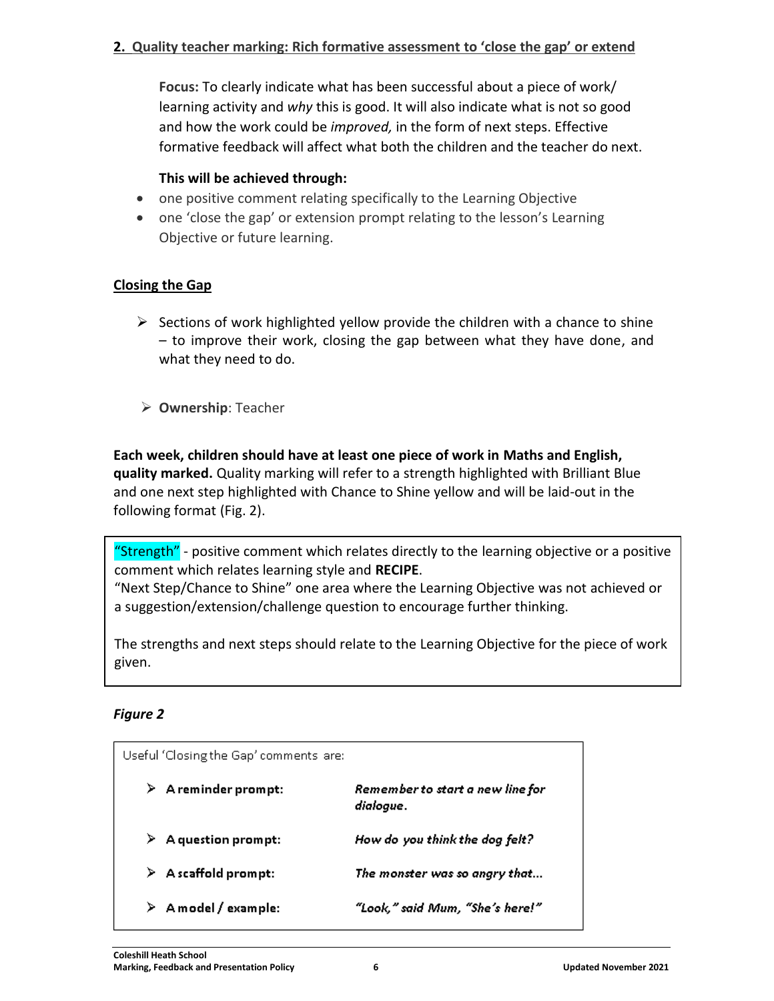#### **2. Quality teacher marking: Rich formative assessment to 'close the gap' or extend**

**Focus:** To clearly indicate what has been successful about a piece of work/ learning activity and *why* this is good. It will also indicate what is not so good and how the work could be *improved,* in the form of next steps. Effective formative feedback will affect what both the children and the teacher do next.

#### **This will be achieved through:**

- one positive comment relating specifically to the Learning Objective
- one 'close the gap' or extension prompt relating to the lesson's Learning Objective or future learning.

#### **Closing the Gap**

- $\triangleright$  Sections of work highlighted yellow provide the children with a chance to shine – to improve their work, closing the gap between what they have done, and what they need to do.
- ➢ **Ownership**: Teacher

**Each week, children should have at least one piece of work in Maths and English, quality marked.** Quality marking will refer to a strength highlighted with Brilliant Blue and one next step highlighted with Chance to Shine yellow and will be laid-out in the following format (Fig. 2).

"Strength" - positive comment which relates directly to the learning objective or a positive comment which relates learning style and **RECIPE**.

"Next Step/Chance to Shine" one area where the Learning Objective was not achieved or a suggestion/extension/challenge question to encourage further thinking.

The strengths and next steps should relate to the Learning Objective for the piece of work given.

#### *Figure 2*

|    | Useful 'Closing the Gap' comments are: |                                               |
|----|----------------------------------------|-----------------------------------------------|
|    | $\triangleright$ A reminder prompt:    | Remember to start a new line for<br>dialogue. |
| ⊁. | A question prompt:                     | How do you think the dog felt?                |
|    | $\triangleright$ A scaffold prompt:    | The monster was so angry that                 |
| ⊁  | A model / example:                     | "Look," said Mum, "She's here!"               |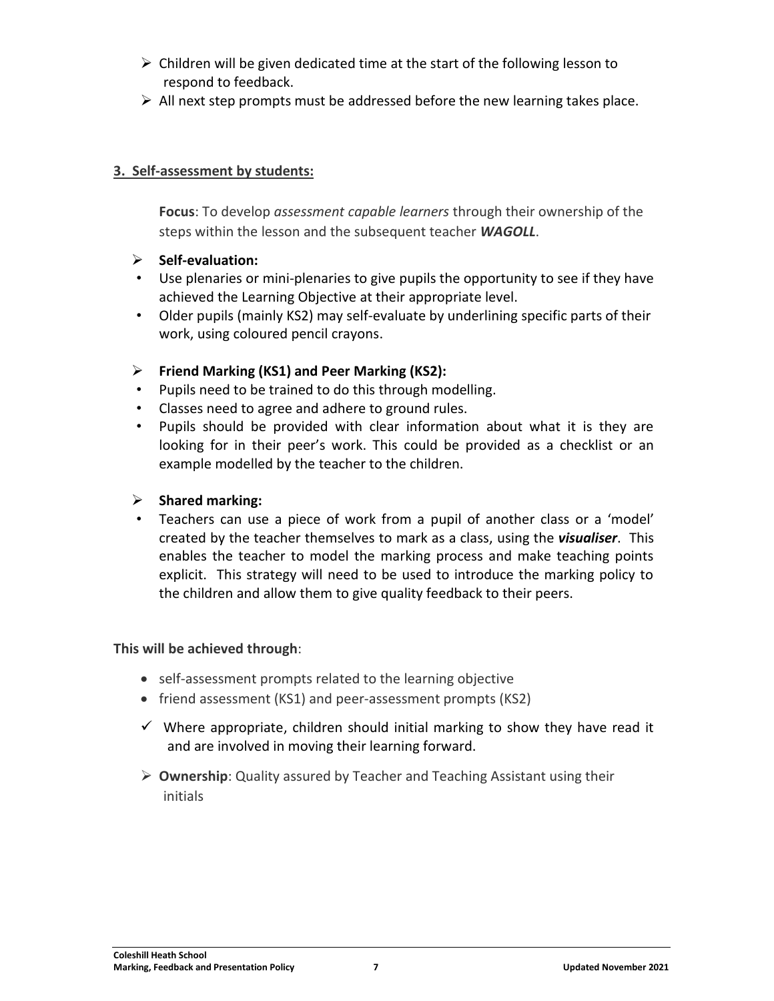- $\triangleright$  Children will be given dedicated time at the start of the following lesson to respond to feedback.
- $\triangleright$  All next step prompts must be addressed before the new learning takes place.

#### **3. Self-assessment by students:**

**Focus**: To develop *assessment capable learners* through their ownership of the steps within the lesson and the subsequent teacher *WAGOLL*.

- ➢ **Self-evaluation:**
- Use plenaries or mini-plenaries to give pupils the opportunity to see if they have achieved the Learning Objective at their appropriate level.
- Older pupils (mainly KS2) may self-evaluate by underlining specific parts of their work, using coloured pencil crayons.

#### ➢ **Friend Marking (KS1) and Peer Marking (KS2):**

- Pupils need to be trained to do this through modelling.
- Classes need to agree and adhere to ground rules.
- Pupils should be provided with clear information about what it is they are looking for in their peer's work. This could be provided as a checklist or an example modelled by the teacher to the children.

#### ➢ **Shared marking:**

• Teachers can use a piece of work from a pupil of another class or a 'model' created by the teacher themselves to mark as a class, using the *visualiser*. This enables the teacher to model the marking process and make teaching points explicit. This strategy will need to be used to introduce the marking policy to the children and allow them to give quality feedback to their peers.

#### **This will be achieved through**:

- self-assessment prompts related to the learning objective
- friend assessment (KS1) and peer-assessment prompts (KS2)
- $\checkmark$  Where appropriate, children should initial marking to show they have read it and are involved in moving their learning forward.
- ➢ **Ownership**: Quality assured by Teacher and Teaching Assistant using their initials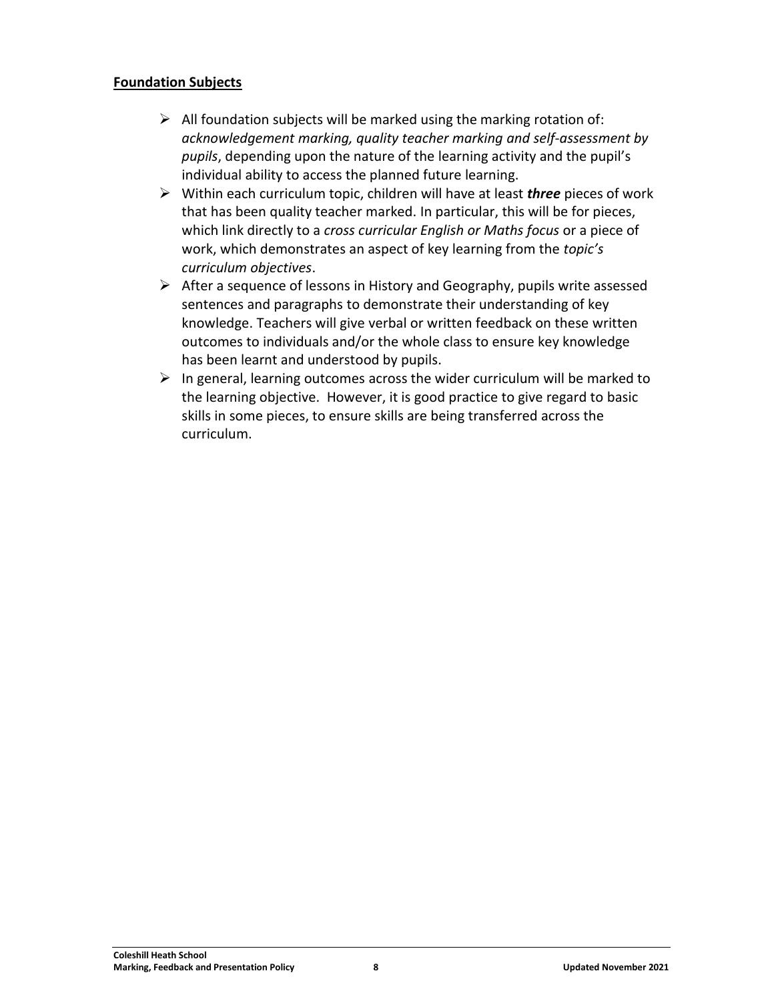#### **Foundation Subjects**

- $\triangleright$  All foundation subjects will be marked using the marking rotation of: *acknowledgement marking, quality teacher marking and self-assessment by pupils*, depending upon the nature of the learning activity and the pupil's individual ability to access the planned future learning.
- ➢ Within each curriculum topic, children will have at least *three* pieces of work that has been quality teacher marked. In particular, this will be for pieces, which link directly to a *cross curricular English or Maths focus* or a piece of work, which demonstrates an aspect of key learning from the *topic's curriculum objectives*.
- ➢ After a sequence of lessons in History and Geography, pupils write assessed sentences and paragraphs to demonstrate their understanding of key knowledge. Teachers will give verbal or written feedback on these written outcomes to individuals and/or the whole class to ensure key knowledge has been learnt and understood by pupils.
- $\triangleright$  In general, learning outcomes across the wider curriculum will be marked to the learning objective. However, it is good practice to give regard to basic skills in some pieces, to ensure skills are being transferred across the curriculum.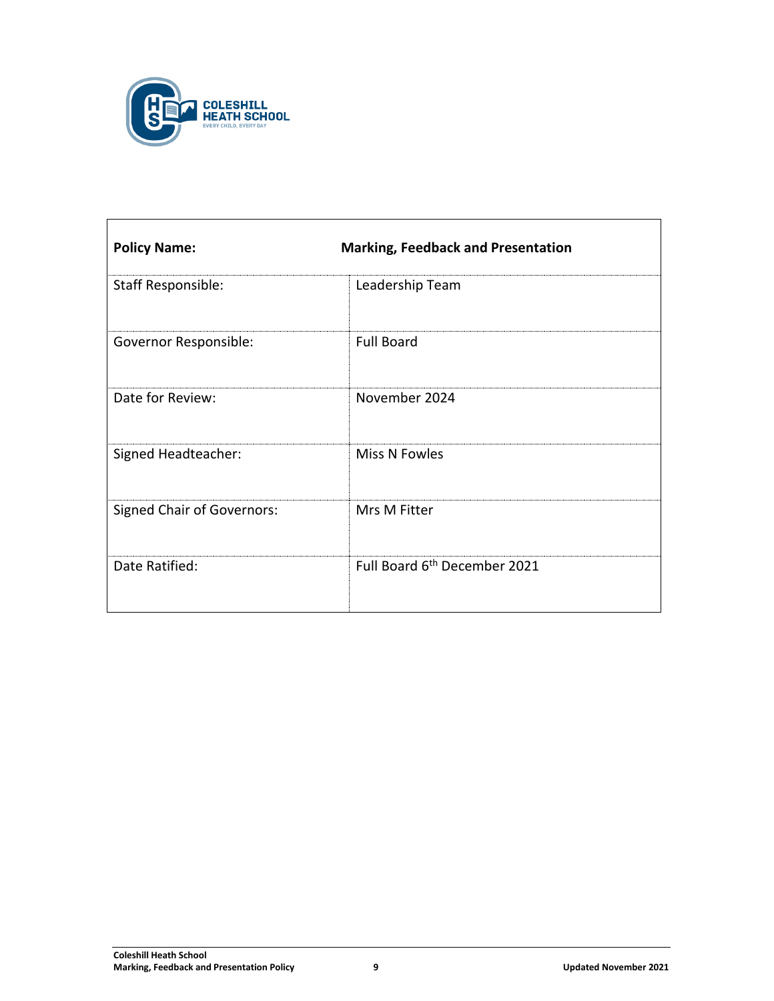

| <b>Policy Name:</b>               | <b>Marking, Feedback and Presentation</b> |
|-----------------------------------|-------------------------------------------|
| Staff Responsible:                | Leadership Team                           |
| Governor Responsible:             | <b>Full Board</b>                         |
| Date for Review:                  | November 2024                             |
| Signed Headteacher:               | Miss N Fowles                             |
| <b>Signed Chair of Governors:</b> | Mrs M Fitter                              |
| Date Ratified:                    | Full Board 6 <sup>th</sup> December 2021  |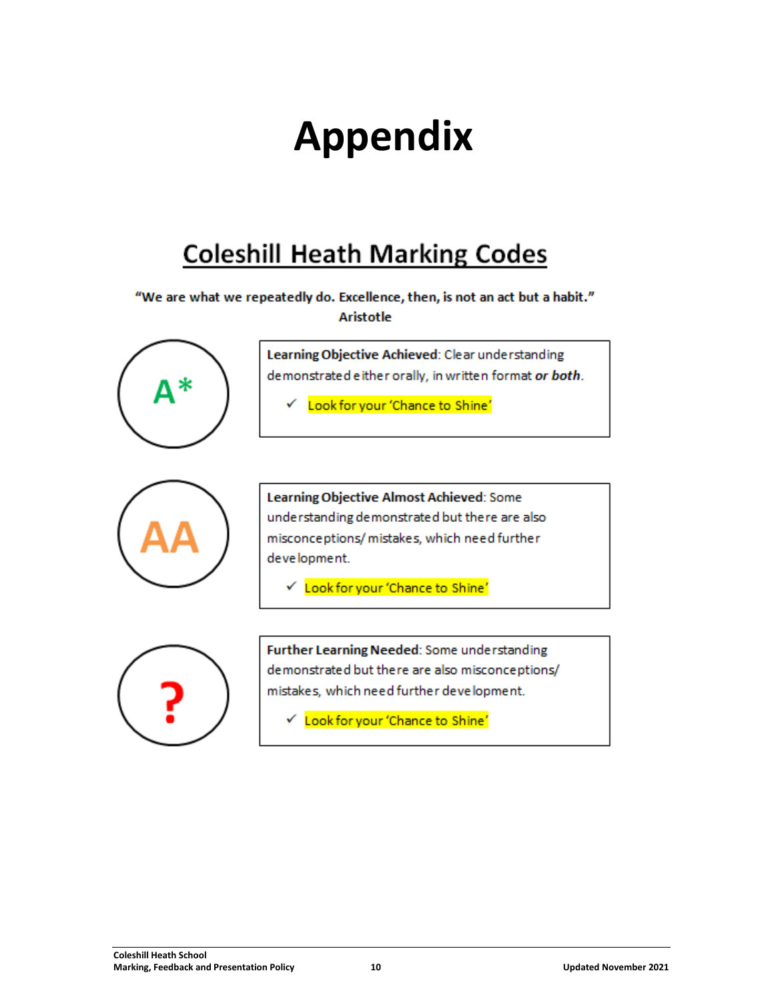## **Appendix**

### **Coleshill Heath Marking Codes**

### "We are what we repeatedly do. Excellence, then, is not an act but a habit." **Aristotle**



Learning Objective Achieved: Clear understanding demonstrated either orally, in written format or both.

Look for your 'Chance to Shine'



Learning Objective Almost Achieved: Some understanding demonstrated but there are also misconceptions/mistakes, which need further development.

└ Look for your 'Chance to Shine'



Further Learning Needed: Some understanding demonstrated but there are also misconceptions/ mistakes, which need further development.

√ Look for your 'Chance to Shine'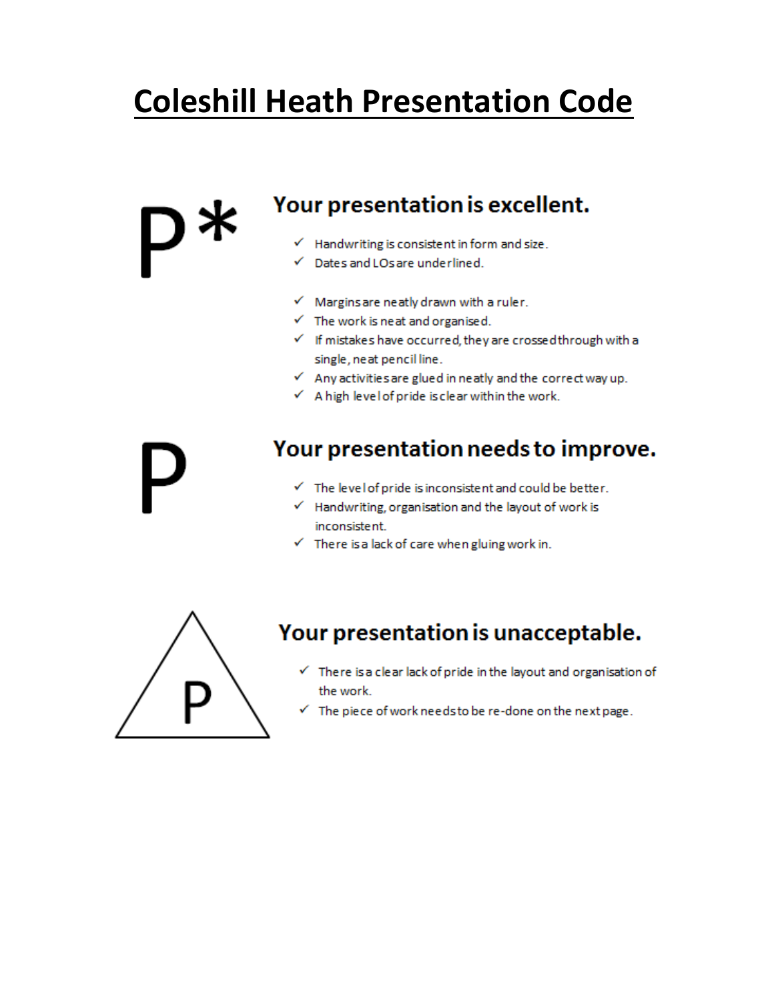## **Coleshill Heath Presentation Code**

### Your presentation is excellent.

- $\checkmark$  Handwriting is consistent in form and size.
- Dates and LOs are underlined.
- $\checkmark$  Margins are neatly drawn with a ruler.
- $\checkmark$  The work is neat and organised.
- $\checkmark$  If mistakes have occurred, they are crossed through with a single, neat pencil line.
- $\checkmark$  Any activities are glued in neatly and the correct way up.
- $\checkmark$  A high level of pride is clear within the work.

### Your presentation needs to improve.

- $\checkmark$  The level of pride is inconsistent and could be better.
- $\checkmark$  Handwriting, organisation and the layout of work is inconsistent.
- $\checkmark$  There is a lack of care when gluing work in.



### Your presentation is unacceptable.

- $\checkmark$  There is a clear lack of pride in the layout and organisation of the work.
- $\checkmark$  The piece of work needs to be re-done on the next page.